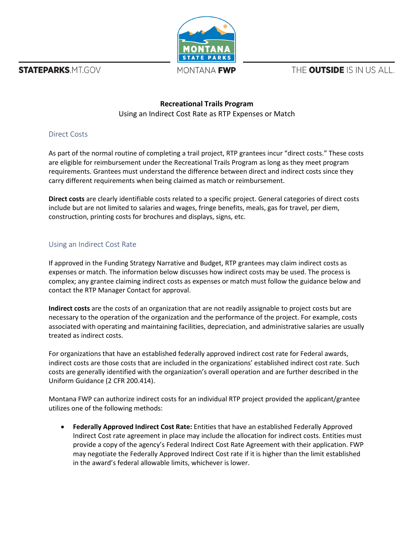**STATEPARKS.MT.GOV** 



MONTANA **FWP** 

THE **OUTSIDE** IS IN US ALL.

## **Recreational Trails Program** Using an Indirect Cost Rate as RTP Expenses or Match

## Direct Costs

As part of the normal routine of completing a trail project, RTP grantees incur "direct costs." These costs are eligible for reimbursement under the Recreational Trails Program as long as they meet program requirements. Grantees must understand the difference between direct and indirect costs since they carry different requirements when being claimed as match or reimbursement.

**Direct costs** are clearly identifiable costs related to a specific project. General categories of direct costs include but are not limited to salaries and wages, fringe benefits, meals, gas for travel, per diem, construction, printing costs for brochures and displays, signs, etc.

## Using an Indirect Cost Rate

If approved in the Funding Strategy Narrative and Budget, RTP grantees may claim indirect costs as expenses or match. The information below discusses how indirect costs may be used. The process is complex; any grantee claiming indirect costs as expenses or match must follow the guidance below and contact the RTP Manager Contact for approval.

**Indirect costs** are the costs of an organization that are not readily assignable to project costs but are necessary to the operation of the organization and the performance of the project. For example, costs associated with operating and maintaining facilities, depreciation, and administrative salaries are usually treated as indirect costs.

For organizations that have an established federally approved indirect cost rate for Federal awards, indirect costs are those costs that are included in the organizations' established indirect cost rate. Such costs are generally identified with the organization's overall operation and are further described in the Uniform Guidance (2 CFR 200.414).

Montana FWP can authorize indirect costs for an individual RTP project provided the applicant/grantee utilizes one of the following methods:

• **Federally Approved Indirect Cost Rate:** Entities that have an established Federally Approved Indirect Cost rate agreement in place may include the allocation for indirect costs. Entities must provide a copy of the agency's Federal Indirect Cost Rate Agreement with their application. FWP may negotiate the Federally Approved Indirect Cost rate if it is higher than the limit established in the award's federal allowable limits, whichever is lower.